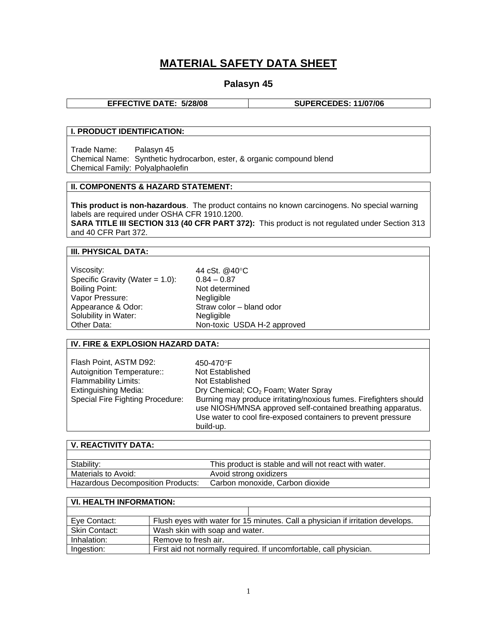# **MATERIAL SAFETY DATA SHEET**

# **Palasyn 45**

**EFFECTIVE DATE: 5/28/08 SUPERCEDES: 11/07/06** 

## **I. PRODUCT IDENTIFICATION:**

Trade Name: Palasyn 45 Chemical Name: Synthetic hydrocarbon, ester, & organic compound blend Chemical Family: Polyalphaolefin

### **II. COMPONENTS & HAZARD STATEMENT:**

**This product is non-hazardous**. The product contains no known carcinogens. No special warning labels are required under OSHA CFR 1910.1200.

**SARA TITLE III SECTION 313 (40 CFR PART 372):** This product is not regulated under Section 313 and 40 CFR Part 372.

#### **III. PHYSICAL DATA:**

| Viscosity:                         | 44 cSt. @40°C               |
|------------------------------------|-----------------------------|
| Specific Gravity (Water = $1.0$ ): | $0.84 - 0.87$               |
| <b>Boiling Point:</b>              | Not determined              |
| Vapor Pressure:                    | Negligible                  |
| Appearance & Odor:                 | Straw color - bland odor    |
| Solubility in Water:               | Negligible                  |
| Other Data:                        | Non-toxic USDA H-2 approved |

#### **IV. FIRE & EXPLOSION HAZARD DATA:**

| Flash Point, ASTM D92:<br>Autoignition Temperature::<br><b>Flammability Limits:</b><br><b>Extinguishing Media:</b><br>Special Fire Fighting Procedure: | 450-470°F<br>Not Established<br>Not Established<br>Dry Chemical; CO <sub>2</sub> Foam; Water Spray<br>Burning may produce irritating/noxious fumes. Firefighters should<br>use NIOSH/MNSA approved self-contained breathing apparatus.<br>Use water to cool fire-exposed containers to prevent pressure |
|--------------------------------------------------------------------------------------------------------------------------------------------------------|---------------------------------------------------------------------------------------------------------------------------------------------------------------------------------------------------------------------------------------------------------------------------------------------------------|
|                                                                                                                                                        | build-up.                                                                                                                                                                                                                                                                                               |

| V. REACTIVITY DATA:                      |                                                       |
|------------------------------------------|-------------------------------------------------------|
|                                          |                                                       |
| Stability:                               | This product is stable and will not react with water. |
| Materials to Avoid:                      | Avoid strong oxidizers                                |
| <b>Hazardous Decomposition Products:</b> | Carbon monoxide, Carbon dioxide                       |

| <b>VI. HEALTH INFORMATION:</b> |                                                                                |  |
|--------------------------------|--------------------------------------------------------------------------------|--|
|                                |                                                                                |  |
| Eve Contact:                   | Flush eyes with water for 15 minutes. Call a physician if irritation develops. |  |
| <b>Skin Contact:</b>           | Wash skin with soap and water.                                                 |  |
| Inhalation:                    | Remove to fresh air.                                                           |  |
| Ingestion:                     | First aid not normally required. If uncomfortable, call physician.             |  |